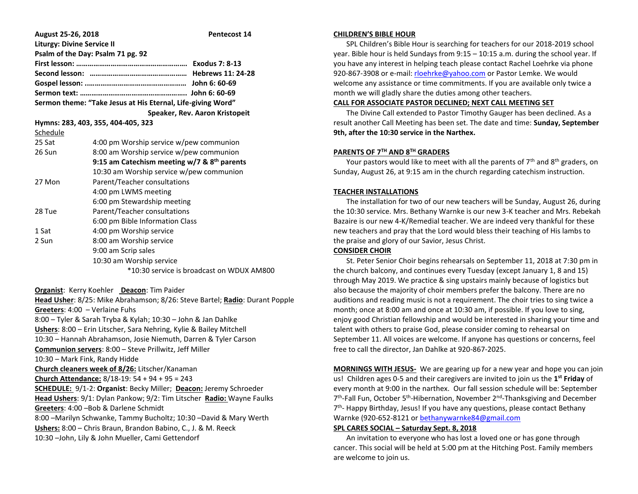| August 25-26, 2018                                                                                      |                                                                     | Pentecost 14                                                                |
|---------------------------------------------------------------------------------------------------------|---------------------------------------------------------------------|-----------------------------------------------------------------------------|
| <b>Liturgy: Divine Service II</b>                                                                       |                                                                     |                                                                             |
|                                                                                                         | Psalm of the Day: Psalm 71 pg. 92                                   |                                                                             |
|                                                                                                         |                                                                     |                                                                             |
|                                                                                                         |                                                                     |                                                                             |
|                                                                                                         |                                                                     |                                                                             |
|                                                                                                         |                                                                     |                                                                             |
| Sermon theme: "Take Jesus at His Eternal, Life-giving Word"                                             |                                                                     |                                                                             |
|                                                                                                         |                                                                     | Speaker, Rev. Aaron Kristopeit                                              |
|                                                                                                         | Hymns: 283, 403, 355, 404-405, 323                                  |                                                                             |
| Schedule                                                                                                |                                                                     |                                                                             |
| 25 Sat                                                                                                  | 4:00 pm Worship service w/pew communion                             |                                                                             |
| 26 Sun                                                                                                  | 8:00 am Worship service w/pew communion                             |                                                                             |
|                                                                                                         | 9:15 am Catechism meeting w/7 & 8 <sup>th</sup> parents             |                                                                             |
|                                                                                                         | 10:30 am Worship service w/pew communion                            |                                                                             |
| 27 Mon                                                                                                  | Parent/Teacher consultations                                        |                                                                             |
|                                                                                                         | 4:00 pm LWMS meeting                                                |                                                                             |
|                                                                                                         | 6:00 pm Stewardship meeting                                         |                                                                             |
| 28 Tue                                                                                                  | Parent/Teacher consultations                                        |                                                                             |
|                                                                                                         | 6:00 pm Bible Information Class                                     |                                                                             |
| 1 Sat                                                                                                   | 4:00 pm Worship service                                             |                                                                             |
| 2 Sun                                                                                                   | 8:00 am Worship service                                             |                                                                             |
|                                                                                                         | 9:00 am Scrip sales                                                 |                                                                             |
|                                                                                                         | 10:30 am Worship service                                            |                                                                             |
|                                                                                                         |                                                                     | *10:30 service is broadcast on WDUX AM800                                   |
|                                                                                                         | Organist: Kerry Koehler Deacon: Tim Paider                          |                                                                             |
|                                                                                                         |                                                                     | Head Usher: 8/25: Mike Abrahamson; 8/26: Steve Bartel; Radio: Durant Popple |
| Greeters: 4:00 - Verlaine Fuhs                                                                          |                                                                     |                                                                             |
| 8:00 - Tyler & Sarah Tryba & Kylah; 10:30 - John & Jan Dahlke                                           |                                                                     |                                                                             |
|                                                                                                         | Ushers: 8:00 - Erin Litscher, Sara Nehring, Kylie & Bailey Mitchell |                                                                             |
|                                                                                                         | 10:30 - Hannah Abrahamson, Josie Niemuth, Darren & Tyler Carson     |                                                                             |
|                                                                                                         | Communion servers: 8:00 - Steve Prillwitz, Jeff Miller              |                                                                             |
| 10:30 - Mark Fink, Randy Hidde                                                                          |                                                                     |                                                                             |
|                                                                                                         | Church cleaners week of 8/26: Litscher/Kanaman                      |                                                                             |
| Church Attendance: 8/18-19: 54 + 94 + 95 = 243                                                          |                                                                     |                                                                             |
| <b>SCHEDULE:</b> 9/1-2: Organist: Becky Miller; Deacon: Jeremy Schroeder                                |                                                                     |                                                                             |
| <b>Head Ushers: <math>9/1</math>: Dylan Pankow: <math>9/2</math>: Tim Litscher, Radio: Wayne Faulks</b> |                                                                     |                                                                             |

**Hers**: 9/1: Dylan Pankow; 9/2: Tim Litscher **Radio:** Wayne Faulks **Greeters**: 4:00 –Bob & Darlene Schmidt

8:00 –Marilyn Schwanke, Tammy Bucholtz; 10:30 –David & Mary Werth **Ushers:** 8:00 – Chris Braun, Brandon Babino, C., J. & M. Reeck 10:30 –John, Lily & John Mueller, Cami Gettendorf

#### **CHILDREN'S BIBLE HOUR**

 SPL Children's Bible Hour is searching for teachers for our 2018-2019 school year. Bible hour is held Sundays from 9:15 – 10:15 a.m. during the school year. If you have any interest in helping teach please contact Rachel Loehrke via phone 920-867-3908 or e-mail[: rloehrke@yahoo.com](mailto:rloehrke@yahoo.com) or Pastor Lemke. We would welcome any assistance or time commitments. If you are available only twice a month we will gladly share the duties among other teachers.

#### **CALL FOR ASSOCIATE PASTOR DECLINED; NEXT CALL MEETING SET**

 The Divine Call extended to Pastor Timothy Gauger has been declined. As a result another Call Meeting has been set. The date and time: **Sunday, September 9th, after the 10:30 service in the Narthex.**

# **PARENTS OF 7TH AND 8TH GRADERS**

Your pastors would like to meet with all the parents of  $7<sup>th</sup>$  and  $8<sup>th</sup>$  graders, on Sunday, August 26, at 9:15 am in the church regarding catechism instruction.

## **TEACHER INSTALLATIONS**

 The installation for two of our new teachers will be Sunday, August 26, during the 10:30 service. Mrs. Bethany Warnke is our new 3-K teacher and Mrs. Rebekah Bazaire is our new 4-K/Remedial teacher. We are indeed very thankful for these new teachers and pray that the Lord would bless their teaching of His lambs to the praise and glory of our Savior, Jesus Christ.

## **CONSIDER CHOIR**

 St. Peter Senior Choir begins rehearsals on September 11, 2018 at 7:30 pm in the church balcony, and continues every Tuesday (except January 1, 8 and 15) through May 2019. We practice & sing upstairs mainly because of logistics but also because the majority of choir members prefer the balcony. There are no auditions and reading music is not a requirement. The choir tries to sing twice a month; once at 8:00 am and once at 10:30 am, if possible. If you love to sing, enjoy good Christian fellowship and would be interested in sharing your time and talent with others to praise God, please consider coming to rehearsal on September 11. All voices are welcome. If anyone has questions or concerns, feel free to call the director, Jan Dahlke at 920-867-2025.

**MORNINGS WITH JESUS-** We are gearing up for a new year and hope you can join us! Children ages 0-5 and their caregivers are invited to join us the **1 st Friday** of every month at 9:00 in the narthex. Our fall session schedule will be: September 7<sup>th</sup>-Fall Fun, October 5<sup>th</sup>-Hibernation, November 2<sup>nd</sup>-Thanksgiving and December 7<sup>th</sup>- Happy Birthday, Jesus! If you have any questions, please contact Bethany Warnke (920-652-8121 o[r bethanywarnke84@gmail.com](mailto:bethanywarnke84@gmail.com)

## **SPL CARES SOCIAL – Saturday Sept. 8, 2018**

 An invitation to everyone who has lost a loved one or has gone through cancer. This social will be held at 5:00 pm at the Hitching Post. Family members are welcome to join us.